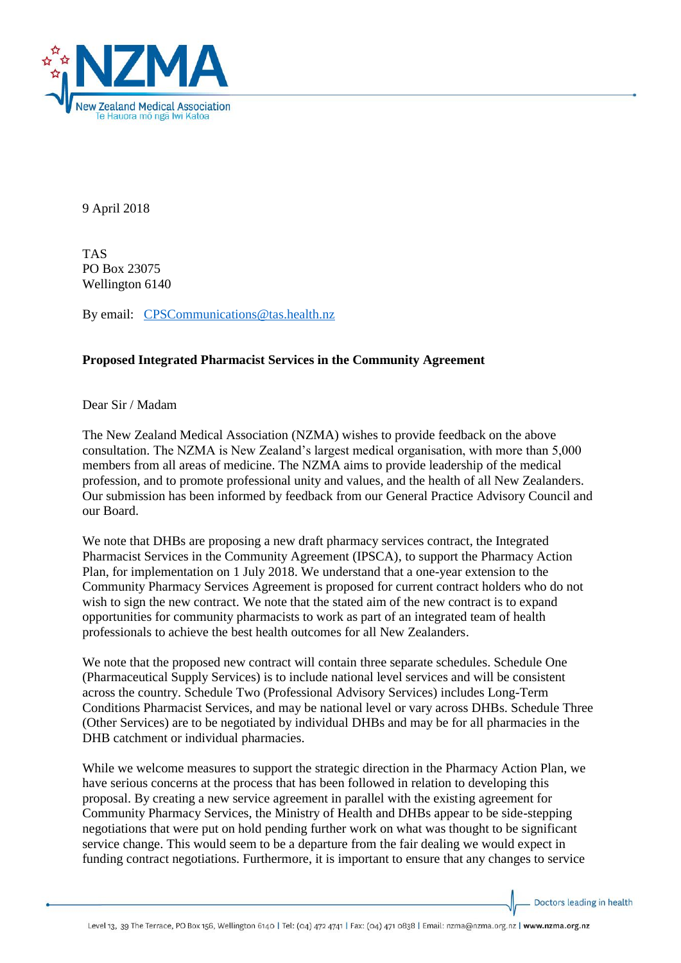

9 April 2018

TAS PO Box 23075 Wellington 6140

By email: [CPSCommunications@tas.health.nz](mailto:CPSCommunications@tas.health.nz)

## **Proposed Integrated Pharmacist Services in the Community Agreement**

Dear Sir / Madam

The New Zealand Medical Association (NZMA) wishes to provide feedback on the above consultation. The NZMA is New Zealand's largest medical organisation, with more than 5,000 members from all areas of medicine. The NZMA aims to provide leadership of the medical profession, and to promote professional unity and values, and the health of all New Zealanders. Our submission has been informed by feedback from our General Practice Advisory Council and our Board.

We note that DHBs are proposing a new draft pharmacy services contract, the Integrated Pharmacist Services in the Community Agreement (IPSCA), to support the Pharmacy Action Plan, for implementation on 1 July 2018. We understand that a one-year extension to the Community Pharmacy Services Agreement is proposed for current contract holders who do not wish to sign the new contract. We note that the stated aim of the new contract is to expand opportunities for community pharmacists to work as part of an integrated team of health professionals to achieve the best health outcomes for all New Zealanders.

We note that the proposed new contract will contain three separate schedules. Schedule One (Pharmaceutical Supply Services) is to include national level services and will be consistent across the country. Schedule Two (Professional Advisory Services) includes Long-Term Conditions Pharmacist Services, and may be national level or vary across DHBs. Schedule Three (Other Services) are to be negotiated by individual DHBs and may be for all pharmacies in the DHB catchment or individual pharmacies.

While we welcome measures to support the strategic direction in the Pharmacy Action Plan, we have serious concerns at the process that has been followed in relation to developing this proposal. By creating a new service agreement in parallel with the existing agreement for Community Pharmacy Services, the Ministry of Health and DHBs appear to be side-stepping negotiations that were put on hold pending further work on what was thought to be significant service change. This would seem to be a departure from the fair dealing we would expect in funding contract negotiations. Furthermore, it is important to ensure that any changes to service

Doctors leading in health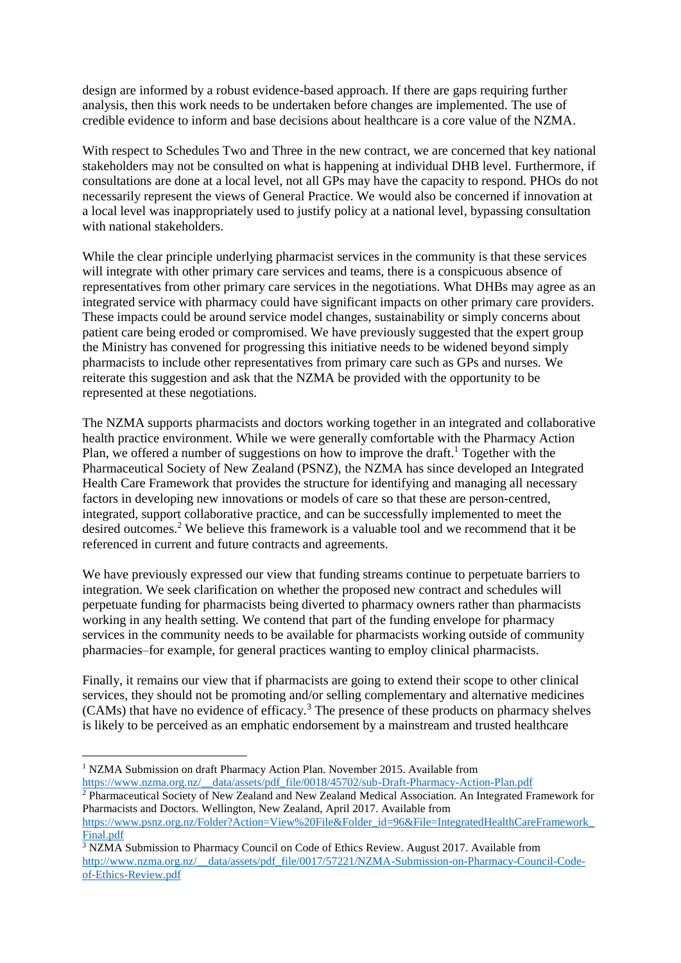design are informed by a robust evidence-based approach. If there are gaps requiring further analysis, then this work needs to be undertaken before changes are implemented. The use of credible evidence to inform and base decisions about healthcare is a core value of the NZMA.

With respect to Schedules Two and Three in the new contract, we are concerned that key national stakeholders may not be consulted on what is happening at individual DHB level. Furthermore, if consultations are done at a local level, not all GPs may have the capacity to respond. PHOs do not necessarily represent the views of General Practice. We would also be concerned if innovation at a local level was inappropriately used to justify policy at a national level, bypassing consultation with national stakeholders.

While the clear principle underlying pharmacist services in the community is that these services will integrate with other primary care services and teams, there is a conspicuous absence of representatives from other primary care services in the negotiations. What DHBs may agree as an integrated service with pharmacy could have significant impacts on other primary care providers. These impacts could be around service model changes, sustainability or simply concerns about patient care being eroded or compromised. We have previously suggested that the expert group the Ministry has convened for progressing this initiative needs to be widened beyond simply pharmacists to include other representatives from primary care such as GPs and nurses. We reiterate this suggestion and ask that the NZMA be provided with the opportunity to be represented at these negotiations.

The NZMA supports pharmacists and doctors working together in an integrated and collaborative health practice environment. While we were generally comfortable with the Pharmacy Action Plan, we offered a number of suggestions on how to improve the draft.<sup>1</sup> Together with the Pharmaceutical Society of New Zealand (PSNZ), the NZMA has since developed an Integrated Health Care Framework that provides the structure for identifying and managing all necessary factors in developing new innovations or models of care so that these are person-centred, integrated, support collaborative practice, and can be successfully implemented to meet the desired outcomes.<sup>2</sup> We believe this framework is a valuable tool and we recommend that it be referenced in current and future contracts and agreements.

We have previously expressed our view that funding streams continue to perpetuate barriers to integration. We seek clarification on whether the proposed new contract and schedules will perpetuate funding for pharmacists being diverted to pharmacy owners rather than pharmacists working in any health setting. We contend that part of the funding envelope for pharmacy services in the community needs to be available for pharmacists working outside of community pharmacies–for example, for general practices wanting to employ clinical pharmacists.

Finally, it remains our view that if pharmacists are going to extend their scope to other clinical services, they should not be promoting and/or selling complementary and alternative medicines (CAMs) that have no evidence of efficacy.<sup>3</sup> The presence of these products on pharmacy shelves is likely to be perceived as an emphatic endorsement by a mainstream and trusted healthcare

 $\overline{a}$ 

<sup>&</sup>lt;sup>1</sup> NZMA Submission on draft Pharmacy Action Plan. November 2015. Available from

[https://www.nzma.org.nz/\\_\\_data/assets/pdf\\_file/0018/45702/sub-Draft-Pharmacy-Action-Plan.pdf](https://www.nzma.org.nz/__data/assets/pdf_file/0018/45702/sub-Draft-Pharmacy-Action-Plan.pdf)

<sup>2</sup> Pharmaceutical Society of New Zealand and New Zealand Medical Association. An Integrated Framework for Pharmacists and Doctors. Wellington, New Zealand, April 2017. Available from

[https://www.psnz.org.nz/Folder?Action=View%20File&Folder\\_id=96&File=IntegratedHealthCareFramework\\_](https://www.psnz.org.nz/Folder?Action=View%20File&Folder_id=96&File=IntegratedHealthCareFramework_Final.pdf) [Final.pdf](https://www.psnz.org.nz/Folder?Action=View%20File&Folder_id=96&File=IntegratedHealthCareFramework_Final.pdf)

<sup>3</sup> NZMA Submission to Pharmacy Council on Code of Ethics Review. August 2017. Available from [http://www.nzma.org.nz/\\_\\_data/assets/pdf\\_file/0017/57221/NZMA-Submission-on-Pharmacy-Council-Code](http://www.nzma.org.nz/__data/assets/pdf_file/0017/57221/NZMA-Submission-on-Pharmacy-Council-Code-of-Ethics-Review.pdf)[of-Ethics-Review.pdf](http://www.nzma.org.nz/__data/assets/pdf_file/0017/57221/NZMA-Submission-on-Pharmacy-Council-Code-of-Ethics-Review.pdf)